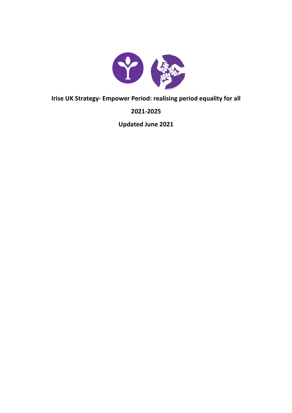

**Irise UK Strategy- Empower Period: realising period equality for all**

**2021-2025**

**Updated June 2021**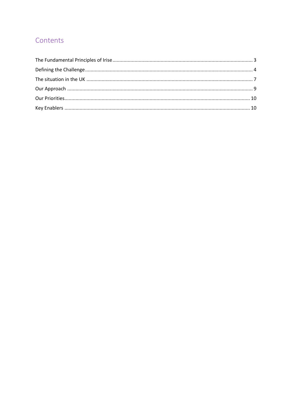## Contents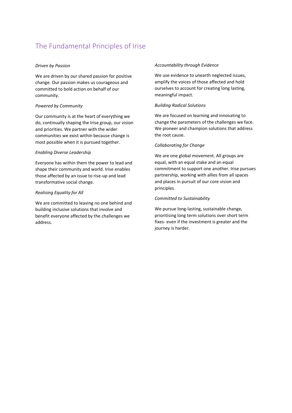# <span id="page-2-0"></span>The Fundamental Principles of Irise

## *Driven by Passion*

We are driven by our shared passion for positive change. Our passion makes us courageous and committed to bold action on behalf of our community.

## *Powered by Community*

Our community is at the heart of everything we do, continually shaping the Irise group, our vision and priorities. We partner with the wider communities we exist within because change is most possible when it is pursued together.

### *Enabling Diverse Leadership*

Everyone has within them the power to lead and shape their community and world. Irise enables those affected by an issue to rise-up and lead transformative social change.

### *Realising Equality for All*

We are committed to leaving no one behind and building inclusive solutions that involve and benefit everyone affected by the challenges we address.

#### *Accountability through Evidence*

We use evidence to unearth neglected issues, amplify the voices of those affected and hold ourselves to account for creating long lasting, meaningful impact.

### *Building Radical Solutions*

We are focused on learning and innovating to change the parameters of the challenges we face. We pioneer and champion solutions that address the root cause.

### *Collaborating for Change*

We are one global movement. All groups are equal, with an equal stake and an equal commitment to support one another. Irise pursues partnership, working with allies from all spaces and places in pursuit of our core vision and principles.

### *Committed to Sustainability*

We pursue long-lasting, sustainable change, prioritising long term solutions over short term fixes- even if the investment is greater and the journey is harder.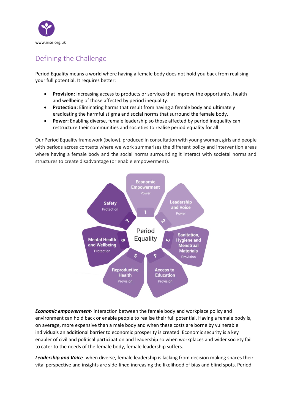

# <span id="page-3-0"></span>Defining the Challenge

Period Equality means a world where having a female body does not hold you back from realising your full potential. It requires better:

- **Provision:** Increasing access to products or services that improve the opportunity, health and wellbeing of those affected by period inequality.
- **Protection:** Eliminating harms that result from having a female body and ultimately eradicating the harmful stigma and social norms that surround the female body.
- **Power:** Enabling diverse, female leadership so those affected by period inequality can restructure their communities and societies to realise period equality for all.

Our Period Equality framework (below), produced in consultation with young women, girls and people with periods across contexts where we work summarises the different policy and intervention areas where having a female body and the social norms surrounding it interact with societal norms and structures to create disadvantage (or enable empowerment).



*Economic empowerment*- interaction between the female body and workplace policy and environment can hold back or enable people to realise their full potential. Having a female body is, on average, more expensive than a male body and when these costs are borne by vulnerable individuals an additional barrier to economic prosperity is created. Economic security is a key enabler of civil and political participation and leadership so when workplaces and wider society fail to cater to the needs of the female body, female leadership suffers.

*Leadership and Voice*- when diverse, female leadership is lacking from decision making spaces their vital perspective and insights are side-lined increasing the likelihood of bias and blind spots. Period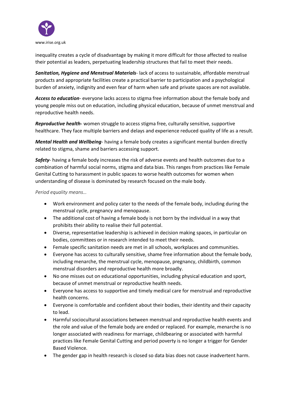

inequality creates a cycle of disadvantage by making it more difficult for those affected to realise their potential as leaders, perpetuating leadership structures that fail to meet their needs.

*Sanitation, Hygiene and Menstrual Materials*- lack of access to sustainable, affordable menstrual products and appropriate facilities create a practical barrier to participation and a psychological burden of anxiety, indignity and even fear of harm when safe and private spaces are not available.

*Access to education*- everyone lacks access to stigma free information about the female body and young people miss out on education, including physical education, because of unmet menstrual and reproductive health needs.

*Reproductive health-* women struggle to access stigma free, culturally sensitive, supportive healthcare. They face multiple barriers and delays and experience reduced quality of life as a result.

*Mental Health and Wellbeing*- having a female body creates a significant mental burden directly related to stigma, shame and barriers accessing support.

*Safety*- having a female body increases the risk of adverse events and health outcomes due to a combination of harmful social norms, stigma and data bias. This ranges from practices like Female Genital Cutting to harassment in public spaces to worse health outcomes for women when understanding of disease is dominated by research focused on the male body.

*Period equality means…*

- Work environment and policy cater to the needs of the female body, including during the menstrual cycle, pregnancy and menopause.
- The additional cost of having a female body is not born by the individual in a way that prohibits their ability to realise their full potential.
- Diverse, representative leadership is achieved in decision making spaces, in particular on bodies, committees or in research intended to meet their needs.
- Female specific sanitation needs are met in all schools, workplaces and communities.
- Everyone has access to culturally sensitive, shame free information about the female body, including menarche, the menstrual cycle, menopause, pregnancy, childbirth, common menstrual disorders and reproductive health more broadly.
- No one misses out on educational opportunities, including physical education and sport, because of unmet menstrual or reproductive health needs.
- Everyone has access to supportive and timely medical care for menstrual and reproductive health concerns.
- Everyone is comfortable and confident about their bodies, their identity and their capacity to lead.
- Harmful sociocultural associations between menstrual and reproductive health events and the role and value of the female body are ended or replaced. For example, menarche is no longer associated with readiness for marriage, childbearing or associated with harmful practices like Female Genital Cutting and period poverty is no longer a trigger for Gender Based Violence.
- The gender gap in health research is closed so data bias does not cause inadvertent harm.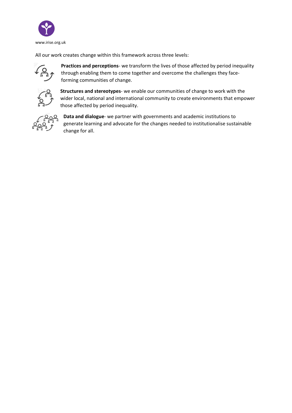

All our work creates change within this framework across three levels:



**Practices and perceptions**- we transform the lives of those affected by period inequality through enabling them to come together and overcome the challenges they faceforming communities of change.



**Structures and stereotypes**- we enable our communities of change to work with the wider local, national and international community to create environments that empower those affected by period inequality.



**Data and dialogue**- we partner with governments and academic institutions to generate learning and advocate for the changes needed to institutionalise sustainable change for all.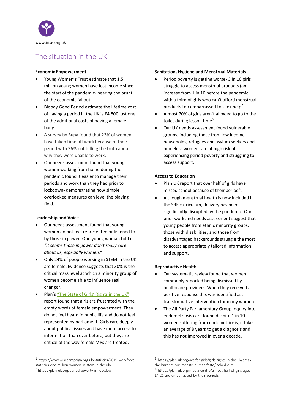

## <span id="page-6-0"></span>The situation in the UK:

## **Economic Empowerment**

- Young Women's Trust estimate that 1.5 million young women have lost income since the start of the pandemic- bearing the brunt of the economic fallout.
- Bloody Good Period estimate the lifetime cost of having a period in the UK is £4,800 just one of the additional costs of having a female body.
- A survey by Bupa found that 23% of women have taken time off work because of their period with 36% not telling the truth about why they were unable to work.
- Our needs assessment found that young women working from home during the pandemic found it easier to manage their periods and work than they had prior to lockdown- demonstrating how simple, overlooked measures can level the playing field.

## **Leadership and Voice**

- Our needs assessment found that young women do not feel represented or listened to by those in power. One young woman told us, *"It seems those in power don't really care about us, especially women."*
- Only 24% of people working in STEM in the UK are female. Evidence suggests that 30% is the critical mass level at which a minority group of women become able to influence real  $change<sup>1</sup>$ .
- Plan'[s "The State of Girls' Rights in the UK"](https://plan-uk.org/file/plan-uk-state-of-girls-rights-coronavirus-reportpdf/download?token=gddEAzlz) report found that girls are frustrated with the empty words of female empowerment. They do not feel heard in public life and do not feel represented by parliament. Girls care deeply about political issues and have more access to information than ever before, but they are critical of the way female MPs are treated.

#### 1 https://www.wisecampaign.org.uk/statistics/2019-workforcestatistics-one-million-women-in-stem-in-the-uk/

## **Sanitation, Hygiene and Menstrual Materials**

- Period poverty is getting worse- 3 in 10 girls struggle to access menstrual products (an increase from 1 in 10 before the pandemic) with a third of girls who can't afford menstrual products too embarrassed to seek help<sup>2</sup>.
- Almost 70% of girls aren't allowed to go to the toilet during lesson time<sup>3</sup>.
- Our UK needs assessment found vulnerable groups, including those from low income households, refugees and asylum seekers and homeless women, are at high risk of experiencing period poverty and struggling to access support.

## **Access to Education**

- Plan UK report that over half of girls have missed school because of their period<sup>4</sup>.
- Although menstrual health is now included in the SRE curriculum, delivery has been significantly disrupted by the pandemic. Our prior work and needs assessment suggest that young people from ethnic minority groups, those with disabilities, and those from disadvantaged backgrounds struggle the most to access appropriately tailored information and support.

## **Reproductive Health**

- Our systematic review found that women commonly reported being dismissed by healthcare providers. When they received a positive response this was identified as a transformative intervention for many women.
- The All Party Parliamentary Group Inquiry into endometriosis care found despite 1 in 10 women suffering from endometriosis, it takes an average of 8 years to get a diagnosis and this has not improved in over a decade.

<sup>2</sup> https://plan-uk.org/period-poverty-in-lockdown

<sup>3</sup> https://plan-uk.org/act-for-girls/girls-rights-in-the-uk/breakthe-barriers-our-menstrual-manifesto/locked-out

<sup>4</sup> https://plan-uk.org/media-centre/almost-half-of-girls-aged-14-21-are-embarrassed-by-their-periods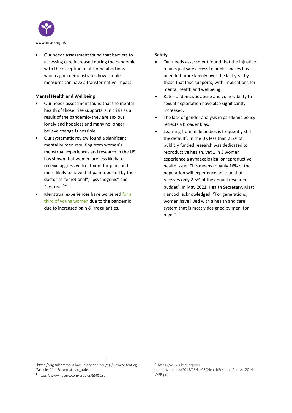

• Our needs assessment found that barriers to accessing care increased during the pandemic with the exception of at-home abortions which again demonstrates how simple measures can have a transformative impact.

## **Mental Health and Wellbeing**

- Our needs assessment found that the mental health of those Irise supports is in crisis as a result of the pandemic- they are anxious, lonely and hopeless and many no longer believe change is possible.
- Our systematic review found a significant mental burden resulting from women's menstrual experiences and research in the US has shown that women are less likely to receive aggressive treatment for pain, and more likely to have that pain reported by their doctor as "emotional", "psychogenic" and "not real. $5"$
- Menstrual experiences have worsene[d for a](https://www.mooncup.co.uk/blog/period-experience-during-pandemic/#:~:text=45.3%25%20of%20those%20who%20took,life%20as%20we%20knew%20it.&text=Among%20the%20survey%20participants%20whose,PMS%20had%20also%20got%20worse.)  [third of young women](https://www.mooncup.co.uk/blog/period-experience-during-pandemic/#:~:text=45.3%25%20of%20those%20who%20took,life%20as%20we%20knew%20it.&text=Among%20the%20survey%20participants%20whose,PMS%20had%20also%20got%20worse.) due to the pandemic due to increased pain & irregularities.

## **Safety**

- Our needs assessment found that the injustice of unequal safe access to public spaces has been felt more keenly over the last year by those that Irise supports, with implications for mental health and wellbeing.
- Rates of domestic abuse and vulnerability to sexual exploitation have also significantly increased.
- The lack of gender analysis in pandemic policy reflects a broader bias.
- Learning from male bodies is frequently still the default<sup>6</sup>. In the UK less than 2.5% of publicly funded research was dedicated to reproductive health, yet 1 in 3 women experience a gynaecological or reproductive health issue. This means roughly 16% of the population will experience an issue that receives only 2.5% of the annual research budget<sup>7</sup>. In May 2021, Health Secretary, Matt Hancock acknowledged, "For generations, women have lived with a health and care system that is mostly designed by men, for men."

<sup>5</sup> https://digitalcommons.law.umaryland.edu/cgi/viewcontent.cg i?article=1144&context=fac\_pubs

<sup>6</sup> https://www.nature.com/articles/550S18a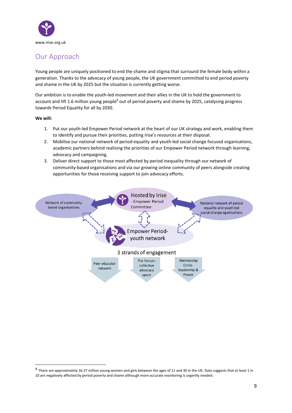

## <span id="page-8-0"></span>Our Approach

Young people are uniquely positioned to end the shame and stigma that surround the female body within a generation. Thanks to the advocacy of young people, the UK government committed to end period poverty and shame in the UK by 2025 but the situation is currently getting worse.

Our ambition is to enable the youth-led movement and their allies in the UK to hold the government to account and lift 1.6 million young people<sup>8</sup> out of period poverty and shame by 2025, catalysing progress towards Period Equality for all by 2030.

**We will:**

- 1. Put our youth-led Empower Period network at the heart of our UK strategy and work, enabling them to identify and pursue their priorities, putting Irise's resources at their disposal.
- 2. Mobilise our national network of period equality and youth-led social change focused organisations, academic partners behind realising the priorities of our Empower Period network through learning, advocacy and campaigning.
- 3. Deliver direct support to those most affected by period inequality through our network of community-based organisations and via our growing online community of peers alongside creating opportunities for those receiving support to join advocacy efforts.



 $^8$  There are approximately 16.27 million young women and girls between the ages of 11 and 30 in the UK. Data suggests that at least 1 in 10 are negatively affected by period poverty and shame although more accurate monitoring is urgently needed.